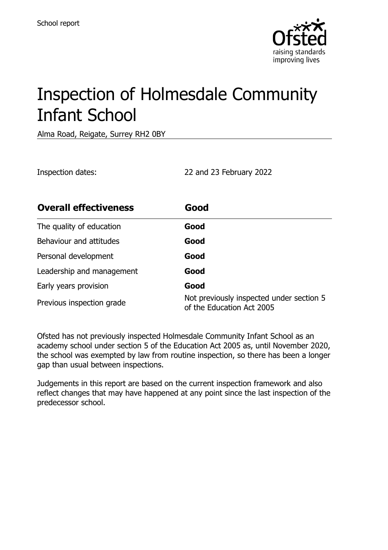

# Inspection of Holmesdale Community Infant School

Alma Road, Reigate, Surrey RH2 0BY

Inspection dates: 22 and 23 February 2022

| <b>Overall effectiveness</b> | Good                                                                  |
|------------------------------|-----------------------------------------------------------------------|
| The quality of education     | Good                                                                  |
| Behaviour and attitudes      | Good                                                                  |
| Personal development         | Good                                                                  |
| Leadership and management    | Good                                                                  |
| Early years provision        | Good                                                                  |
| Previous inspection grade    | Not previously inspected under section 5<br>of the Education Act 2005 |

Ofsted has not previously inspected Holmesdale Community Infant School as an academy school under section 5 of the Education Act 2005 as, until November 2020, the school was exempted by law from routine inspection, so there has been a longer gap than usual between inspections.

Judgements in this report are based on the current inspection framework and also reflect changes that may have happened at any point since the last inspection of the predecessor school.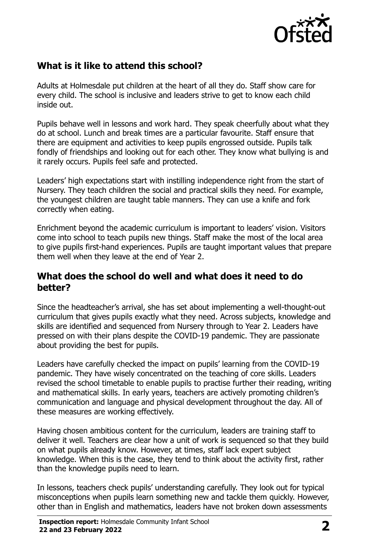

# **What is it like to attend this school?**

Adults at Holmesdale put children at the heart of all they do. Staff show care for every child. The school is inclusive and leaders strive to get to know each child inside out.

Pupils behave well in lessons and work hard. They speak cheerfully about what they do at school. Lunch and break times are a particular favourite. Staff ensure that there are equipment and activities to keep pupils engrossed outside. Pupils talk fondly of friendships and looking out for each other. They know what bullying is and it rarely occurs. Pupils feel safe and protected.

Leaders' high expectations start with instilling independence right from the start of Nursery. They teach children the social and practical skills they need. For example, the youngest children are taught table manners. They can use a knife and fork correctly when eating.

Enrichment beyond the academic curriculum is important to leaders' vision. Visitors come into school to teach pupils new things. Staff make the most of the local area to give pupils first-hand experiences. Pupils are taught important values that prepare them well when they leave at the end of Year 2.

#### **What does the school do well and what does it need to do better?**

Since the headteacher's arrival, she has set about implementing a well-thought-out curriculum that gives pupils exactly what they need. Across subjects, knowledge and skills are identified and sequenced from Nursery through to Year 2. Leaders have pressed on with their plans despite the COVID-19 pandemic. They are passionate about providing the best for pupils.

Leaders have carefully checked the impact on pupils' learning from the COVID-19 pandemic. They have wisely concentrated on the teaching of core skills. Leaders revised the school timetable to enable pupils to practise further their reading, writing and mathematical skills. In early years, teachers are actively promoting children's communication and language and physical development throughout the day. All of these measures are working effectively.

Having chosen ambitious content for the curriculum, leaders are training staff to deliver it well. Teachers are clear how a unit of work is sequenced so that they build on what pupils already know. However, at times, staff lack expert subject knowledge. When this is the case, they tend to think about the activity first, rather than the knowledge pupils need to learn.

In lessons, teachers check pupils' understanding carefully. They look out for typical misconceptions when pupils learn something new and tackle them quickly. However, other than in English and mathematics, leaders have not broken down assessments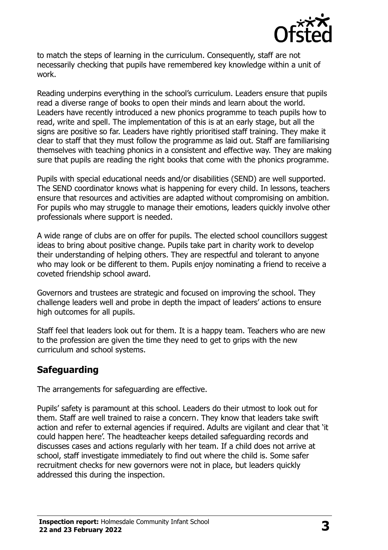

to match the steps of learning in the curriculum. Consequently, staff are not necessarily checking that pupils have remembered key knowledge within a unit of work.

Reading underpins everything in the school's curriculum. Leaders ensure that pupils read a diverse range of books to open their minds and learn about the world. Leaders have recently introduced a new phonics programme to teach pupils how to read, write and spell. The implementation of this is at an early stage, but all the signs are positive so far. Leaders have rightly prioritised staff training. They make it clear to staff that they must follow the programme as laid out. Staff are familiarising themselves with teaching phonics in a consistent and effective way. They are making sure that pupils are reading the right books that come with the phonics programme.

Pupils with special educational needs and/or disabilities (SEND) are well supported. The SEND coordinator knows what is happening for every child. In lessons, teachers ensure that resources and activities are adapted without compromising on ambition. For pupils who may struggle to manage their emotions, leaders quickly involve other professionals where support is needed.

A wide range of clubs are on offer for pupils. The elected school councillors suggest ideas to bring about positive change. Pupils take part in charity work to develop their understanding of helping others. They are respectful and tolerant to anyone who may look or be different to them. Pupils enjoy nominating a friend to receive a coveted friendship school award.

Governors and trustees are strategic and focused on improving the school. They challenge leaders well and probe in depth the impact of leaders' actions to ensure high outcomes for all pupils.

Staff feel that leaders look out for them. It is a happy team. Teachers who are new to the profession are given the time they need to get to grips with the new curriculum and school systems.

# **Safeguarding**

The arrangements for safeguarding are effective.

Pupils' safety is paramount at this school. Leaders do their utmost to look out for them. Staff are well trained to raise a concern. They know that leaders take swift action and refer to external agencies if required. Adults are vigilant and clear that 'it could happen here'. The headteacher keeps detailed safeguarding records and discusses cases and actions regularly with her team. If a child does not arrive at school, staff investigate immediately to find out where the child is. Some safer recruitment checks for new governors were not in place, but leaders quickly addressed this during the inspection.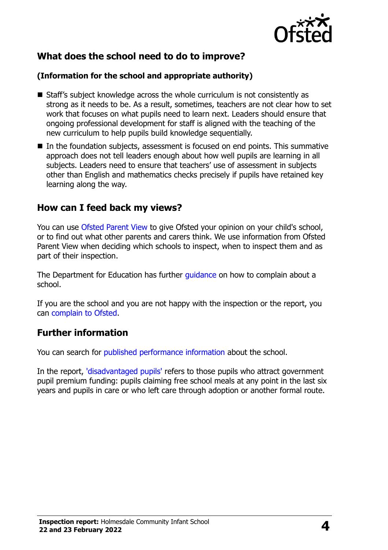

# **What does the school need to do to improve?**

#### **(Information for the school and appropriate authority)**

- Staff's subject knowledge across the whole curriculum is not consistently as strong as it needs to be. As a result, sometimes, teachers are not clear how to set work that focuses on what pupils need to learn next. Leaders should ensure that ongoing professional development for staff is aligned with the teaching of the new curriculum to help pupils build knowledge sequentially.
- $\blacksquare$  In the foundation subjects, assessment is focused on end points. This summative approach does not tell leaders enough about how well pupils are learning in all subjects. Leaders need to ensure that teachers' use of assessment in subjects other than English and mathematics checks precisely if pupils have retained key learning along the way.

### **How can I feed back my views?**

You can use [Ofsted Parent View](http://parentview.ofsted.gov.uk/) to give Ofsted your opinion on your child's school, or to find out what other parents and carers think. We use information from Ofsted Parent View when deciding which schools to inspect, when to inspect them and as part of their inspection.

The Department for Education has further quidance on how to complain about a school.

If you are the school and you are not happy with the inspection or the report, you can [complain to Ofsted.](http://www.gov.uk/complain-ofsted-report)

### **Further information**

You can search for [published performance information](http://www.compare-school-performance.service.gov.uk/) about the school.

In the report, ['disadvantaged pupils'](http://www.gov.uk/guidance/pupil-premium-information-for-schools-and-alternative-provision-settings) refers to those pupils who attract government pupil premium funding: pupils claiming free school meals at any point in the last six years and pupils in care or who left care through adoption or another formal route.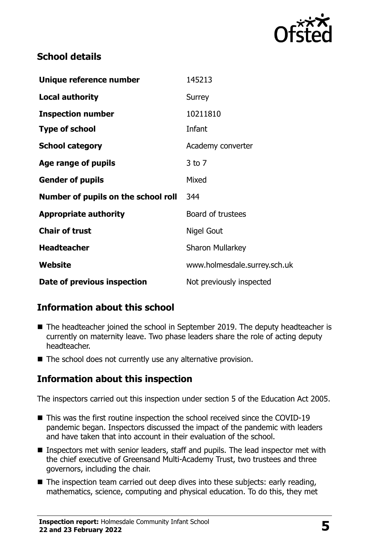

# **School details**

| Unique reference number             | 145213                       |
|-------------------------------------|------------------------------|
| <b>Local authority</b>              | Surrey                       |
| <b>Inspection number</b>            | 10211810                     |
| <b>Type of school</b>               | Infant                       |
| <b>School category</b>              | Academy converter            |
| Age range of pupils                 | $3$ to $7$                   |
| <b>Gender of pupils</b>             | Mixed                        |
| Number of pupils on the school roll | 344                          |
| <b>Appropriate authority</b>        | Board of trustees            |
| <b>Chair of trust</b>               | Nigel Gout                   |
| <b>Headteacher</b>                  | <b>Sharon Mullarkey</b>      |
| Website                             | www.holmesdale.surrey.sch.uk |
| Date of previous inspection         | Not previously inspected     |

# **Information about this school**

- The headteacher joined the school in September 2019. The deputy headteacher is currently on maternity leave. Two phase leaders share the role of acting deputy headteacher.
- The school does not currently use any alternative provision.

# **Information about this inspection**

The inspectors carried out this inspection under section 5 of the Education Act 2005.

- This was the first routine inspection the school received since the COVID-19 pandemic began. Inspectors discussed the impact of the pandemic with leaders and have taken that into account in their evaluation of the school.
- Inspectors met with senior leaders, staff and pupils. The lead inspector met with the chief executive of Greensand Multi-Academy Trust, two trustees and three governors, including the chair.
- $\blacksquare$  The inspection team carried out deep dives into these subjects: early reading, mathematics, science, computing and physical education. To do this, they met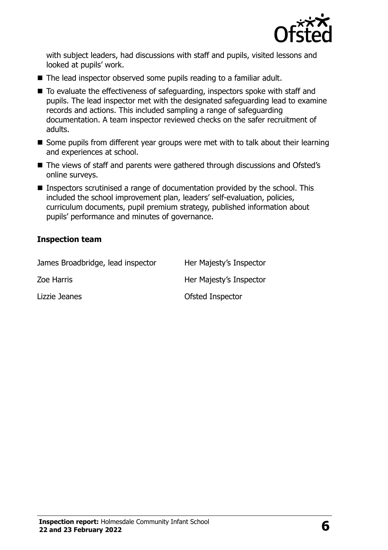

with subject leaders, had discussions with staff and pupils, visited lessons and looked at pupils' work.

- The lead inspector observed some pupils reading to a familiar adult.
- To evaluate the effectiveness of safeguarding, inspectors spoke with staff and pupils. The lead inspector met with the designated safeguarding lead to examine records and actions. This included sampling a range of safeguarding documentation. A team inspector reviewed checks on the safer recruitment of adults.
- Some pupils from different year groups were met with to talk about their learning and experiences at school.
- The views of staff and parents were gathered through discussions and Ofsted's online surveys.
- **Inspectors scrutinised a range of documentation provided by the school. This** included the school improvement plan, leaders' self-evaluation, policies, curriculum documents, pupil premium strategy, published information about pupils' performance and minutes of governance.

#### **Inspection team**

| James Broadbridge, lead inspector | Her Majesty's Inspector |
|-----------------------------------|-------------------------|
| Zoe Harris                        | Her Majesty's Inspector |
| Lizzie Jeanes                     | Ofsted Inspector        |